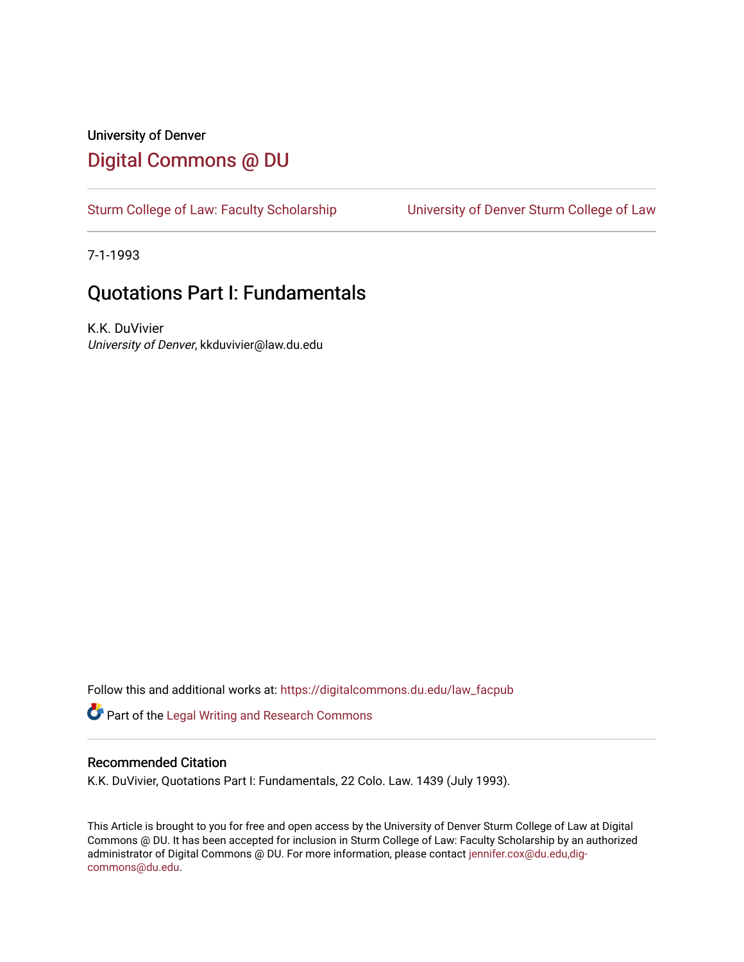## University of Denver [Digital Commons @ DU](https://digitalcommons.du.edu/)

[Sturm College of Law: Faculty Scholarship](https://digitalcommons.du.edu/law_facpub) [University of Denver Sturm College of Law](https://digitalcommons.du.edu/denver_law) 

7-1-1993

## Quotations Part I: Fundamentals

K.K. DuVivier University of Denver, kkduvivier@law.du.edu

Follow this and additional works at: [https://digitalcommons.du.edu/law\\_facpub](https://digitalcommons.du.edu/law_facpub?utm_source=digitalcommons.du.edu%2Flaw_facpub%2F346&utm_medium=PDF&utm_campaign=PDFCoverPages) 

Part of the [Legal Writing and Research Commons](http://network.bepress.com/hgg/discipline/614?utm_source=digitalcommons.du.edu%2Flaw_facpub%2F346&utm_medium=PDF&utm_campaign=PDFCoverPages) 

### Recommended Citation

K.K. DuVivier, Quotations Part I: Fundamentals, 22 Colo. Law. 1439 (July 1993).

This Article is brought to you for free and open access by the University of Denver Sturm College of Law at Digital Commons @ DU. It has been accepted for inclusion in Sturm College of Law: Faculty Scholarship by an authorized administrator of Digital Commons @ DU. For more information, please contact [jennifer.cox@du.edu,dig](mailto:jennifer.cox@du.edu,dig-commons@du.edu)[commons@du.edu.](mailto:jennifer.cox@du.edu,dig-commons@du.edu)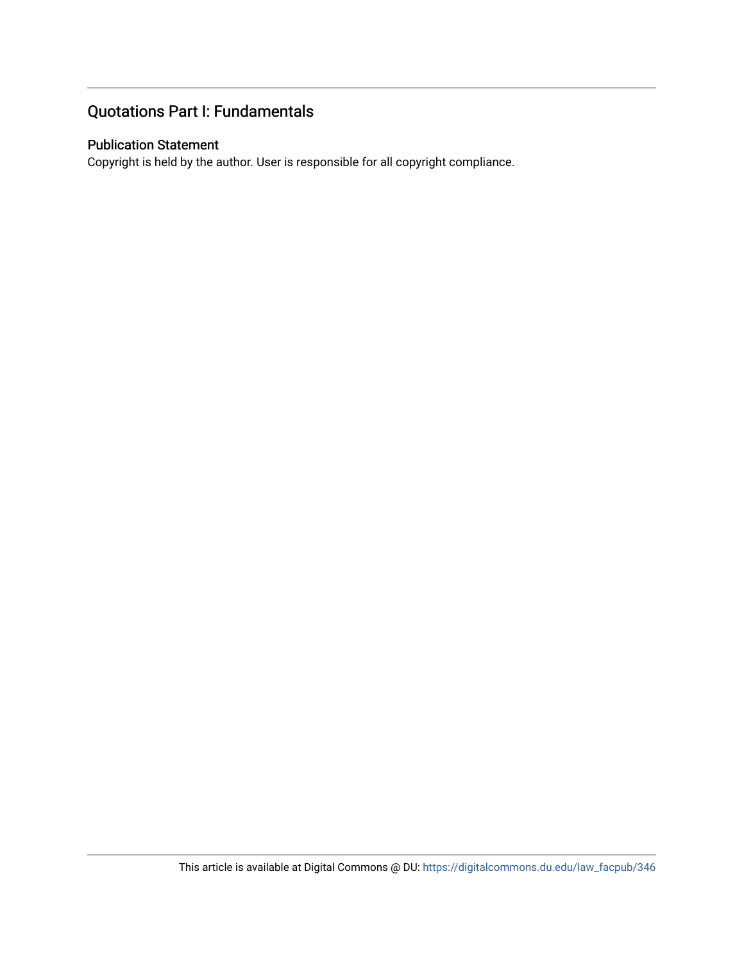### Quotations Part I: Fundamentals

### Publication Statement

Copyright is held by the author. User is responsible for all copyright compliance.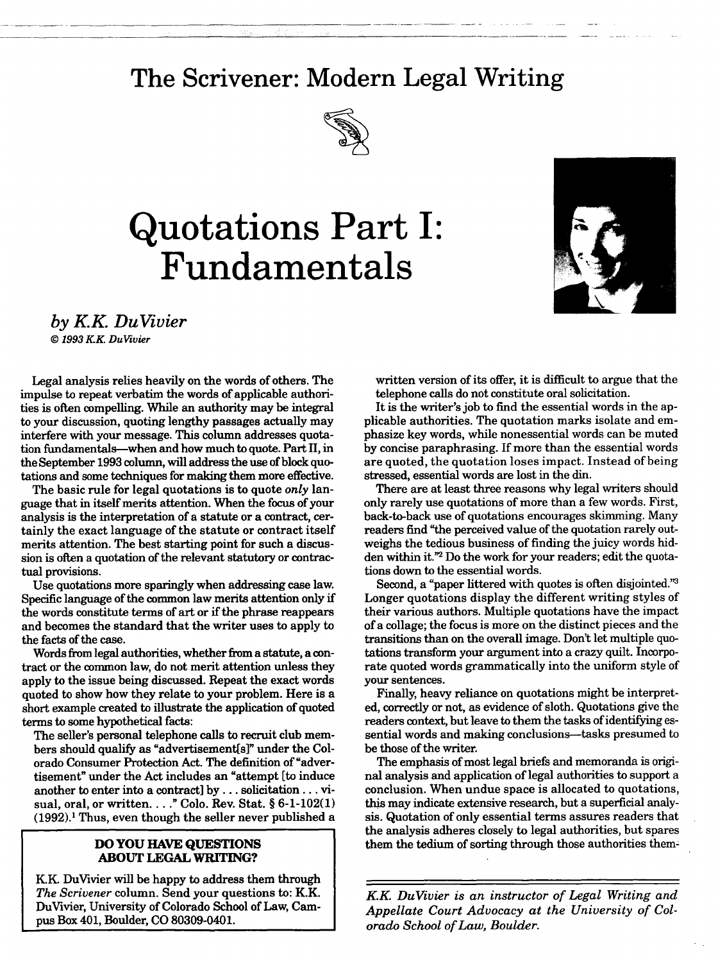# **The Scrivener: Modern Legal Writing**



# **Quotations Part I: Fundamentals**



*by KK DuVivier*

*© 1993 KK DuVivier*

Legal analysis relies heavily on the words of others. The impulse to repeat verbatim the words of applicable authorities is often compelling. While an authority may be integral to your discussion, quoting lengthy passages actually may interfere with your message. This column addresses quotation fundamentals--when and how much to quote. Part II, in the September 1993 column, will address the use of block quotations and some techniques for making them more effective.

The basic rule for legal quotations is to quote *only* language that in itself merits attention. When the focus of your analysis is the interpretation of a statute or a contract, certainly the exact language of the statute or contract itself merits attention. The best starting point for such a discussion is often a quotation of the relevant statutory or contractual provisions.

Use quotations more sparingly when addressing case law. Specific language of the common law merits attention only if the words constitute terms of art or if the phrase reappears and becomes the standard that the writer uses to apply to the facts of the case.

Words from legal authorities, whether from a statute, a contract or the common law, do not merit attention unless they apply to the issue being discussed. Repeat the exact words quoted to show how they relate to your problem. Here is a short example created to illustrate the application of quoted terms to some hypothetical facts:

The seller's personal telephone calls to recruit club members should qualify as "advertisement[s]" under the Colorado Consumer Protection Act. The definition of "advertisement" under the Act includes an "attempt [to induce another to enter into a contract] by... solicitation... visual, oral, or written.. . ." Colo. Rev. Stat. § 6-1-102(1)  $(1992).$ <sup>1</sup> Thus, even though the seller never published a

### **DO YOU HAVE QUESTIONS ABOUT LEGAL WRITING?**

**K.K** DuVivier will be happy to address them through *The Scrivener* column. Send your questions to: K.K. DuVivier, University of Colorado School of Law, Campus Box 401, Boulder, CO 80309-0401.

written version of its offer, it is difficult to argue that the telephone calls do not constitute oral solicitation.

It is the writer's job to find the essential words in the applicable authorities. The quotation marks isolate and emphasize key words, while nonessential words can be muted by concise paraphrasing. If more than the essential words are quoted, the quotation loses impact. Instead of being stressed, essential words are lost in the din.

There are at least three reasons why legal writers should only rarely use quotations of more than a few words. First, back-to-back use of quotations encourages skimming. Many readers find "the perceived value of the quotation rarely outweighs the tedious business of finding the juicy words hidden within it."2 Do the work for your readers; edit the quotations down to the essential words.

Second, a "paper littered with quotes is often disjointed."<sup>3</sup> Longer quotations display the different writing styles of their various authors. Multiple quotations have the impact of a collage; the focus is more on the distinct pieces and the transitions than on the overall image. Don't let multiple quotations transform your argument into a crazy quilt. Incorporate quoted words grammatically into the uniform style of your sentences.

Finally, heavy reliance on quotations might be interpreted, correctly or not, as evidence of sloth. Quotations give the readers context, but leave to them the tasks of identifying essential words and making conclusions—tasks presumed to be those of the writer.

The emphasis of most legal briefs and memoranda is original analysis and application of legal authorities to support a conclusion. When undue space is allocated to quotations, this may indicate extensive research, but a superficial analysis. Quotation of only essential terms assures readers that the analysis adheres closely to legal authorities, but spares them the tedium of sorting through those authorities them:

*KK DuVivier is an instructor of Legal Writing and Appellate Court Advocacy at the University of Colorado School of Law, Boulder.*